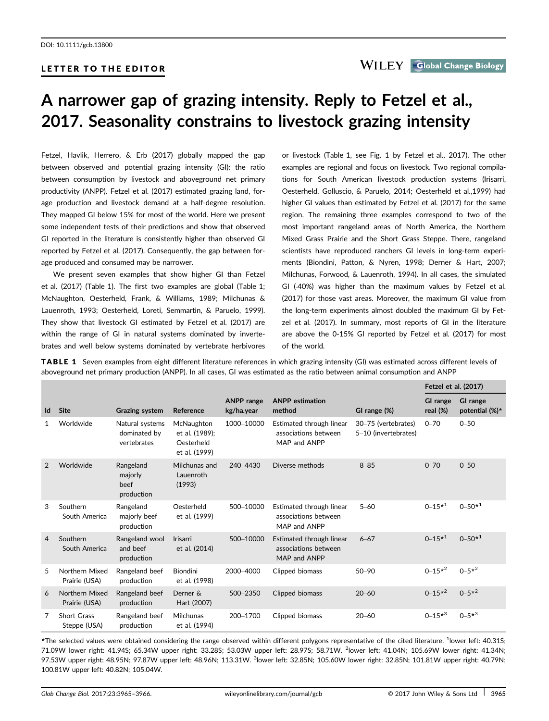### LETTER TO THE EDITOR

# A narrower gap of grazing intensity. Reply to Fetzel et al., 2017. Seasonality constrains to livestock grazing intensity

Fetzel, Havlik, Herrero, & Erb (2017) globally mapped the gap between observed and potential grazing intensity (GI): the ratio between consumption by livestock and aboveground net primary productivity (ANPP). Fetzel et al. (2017) estimated grazing land, forage production and livestock demand at a half-degree resolution. They mapped GI below 15% for most of the world. Here we present some independent tests of their predictions and show that observed GI reported in the literature is consistently higher than observed GI reported by Fetzel et al. (2017). Consequently, the gap between forage produced and consumed may be narrower.

We present seven examples that show higher GI than Fetzel et al. (2017) (Table 1). The first two examples are global (Table 1; McNaughton, Oesterheld, Frank, & Williams, 1989; Milchunas & Lauenroth, 1993; Oesterheld, Loreti, Semmartin, & Paruelo, 1999). They show that livestock GI estimated by Fetzel et al. (2017) are within the range of GI in natural systems dominated by invertebrates and well below systems dominated by vertebrate herbivores

or livestock (Table 1, see Fig. 1 by Fetzel et al., 2017). The other examples are regional and focus on livestock. Two regional compilations for South American livestock production systems (Irisarri, Oesterheld, Golluscio, & Paruelo, 2014; Oesterheld et al.,1999) had higher GI values than estimated by Fetzel et al. (2017) for the same region. The remaining three examples correspond to two of the most important rangeland areas of North America, the Northern Mixed Grass Prairie and the Short Grass Steppe. There, rangeland scientists have reproduced ranchers GI levels in long-term experiments (Biondini, Patton, & Nyren, 1998; Derner & Hart, 2007; Milchunas, Forwood, & Lauenroth, 1994). In all cases, the simulated GI (-40%) was higher than the maximum values by Fetzel et al. (2017) for those vast areas. Moreover, the maximum GI value from the long-term experiments almost doubled the maximum GI by Fetzel et al. (2017). In summary, most reports of GI in the literature are above the 0-15% GI reported by Fetzel et al. (2017) for most of the world.

TABLE 1 Seven examples from eight different literature references in which grazing intensity (GI) was estimated across different levels of aboveground net primary production (ANPP). In all cases, GI was estimated as the ratio between animal consumption and ANPP

|                |                                    |                                                |                                                             |                                 |                                                                  |                                             | Fetzel et al. (2017)        |                                |
|----------------|------------------------------------|------------------------------------------------|-------------------------------------------------------------|---------------------------------|------------------------------------------------------------------|---------------------------------------------|-----------------------------|--------------------------------|
| Id             | <b>Site</b>                        | Grazing system                                 | Reference                                                   | <b>ANPP</b> range<br>kg/ha.year | <b>ANPP</b> estimation<br>method                                 | GI range (%)                                | <b>GI</b> range<br>real (%) | GI range<br>potential $(\%)^*$ |
|                | Worldwide                          | Natural systems<br>dominated by<br>vertebrates | McNaughton<br>et al. (1989);<br>Oesterheld<br>et al. (1999) | 1000-10000                      | Estimated through linear<br>associations between<br>MAP and ANPP | 30-75 (vertebrates)<br>5-10 (invertebrates) | $0 - 70$                    | $0 - 50$                       |
| 2              | Worldwide                          | Rangeland<br>majorly<br>beef<br>production     | Milchunas and<br>Lauenroth<br>(1993)                        | 240-4430                        | Diverse methods                                                  | $8 - 85$                                    | $0 - 70$                    | $0 - 50$                       |
| 3              | Southern<br>South America          | Rangeland<br>majorly beef<br>production        | Oesterheld<br>et al. (1999)                                 | 500-10000                       | Estimated through linear<br>associations between<br>MAP and ANPP | $5 - 60$                                    | $0 - 15*1$                  | $0 - 50*^1$                    |
| $\overline{4}$ | Southern<br>South America          | Rangeland wool<br>and beef<br>production       | Irisarri<br>et al. (2014)                                   | 500-10000                       | Estimated through linear<br>associations between<br>MAP and ANPP | $6 - 67$                                    | $0 - 15*^1$                 | $0 - 50*^1$                    |
| 5              | Northern Mixed<br>Prairie (USA)    | Rangeland beef<br>production                   | Biondini<br>et al. (1998)                                   | 2000-4000                       | Clipped biomass                                                  | $50 - 90$                                   | $0 - 15*^2$                 | $0 - 5*^2$                     |
| 6              | Northern Mixed<br>Prairie (USA)    | Rangeland beef<br>production                   | Derner &<br>Hart (2007)                                     | 500-2350                        | Clipped biomass                                                  | $20 - 60$                                   | $0 - 15*^2$                 | $0 - 5*^2$                     |
| 7              | <b>Short Grass</b><br>Steppe (USA) | Rangeland beef<br>production                   | Milchunas<br>et al. (1994)                                  | 200-1700                        | Clipped biomass                                                  | $20 - 60$                                   | $0 - 15*3$                  | $0 - 5*3$                      |

\*The selected values were obtained considering the range observed within different polygons representative of the cited literature. <sup>1</sup>lower left: 40.31S; 71.09W lower right: 41.94S; 65.34W upper right: 33.28S; 53.03W upper left: 28.97S; 58.71W. <sup>2</sup>lower left: 41.04N; 105.69W lower right: 41.34N; 97.53W upper right: 48.95N; 97.87W upper left: 48.96N; 113.31W. <sup>3</sup>lower left: 32.85N; 105.60W lower right: 32.85N; 101.81W upper right: 40.79N; 100.81W upper left: 40.82N; 105.04W.